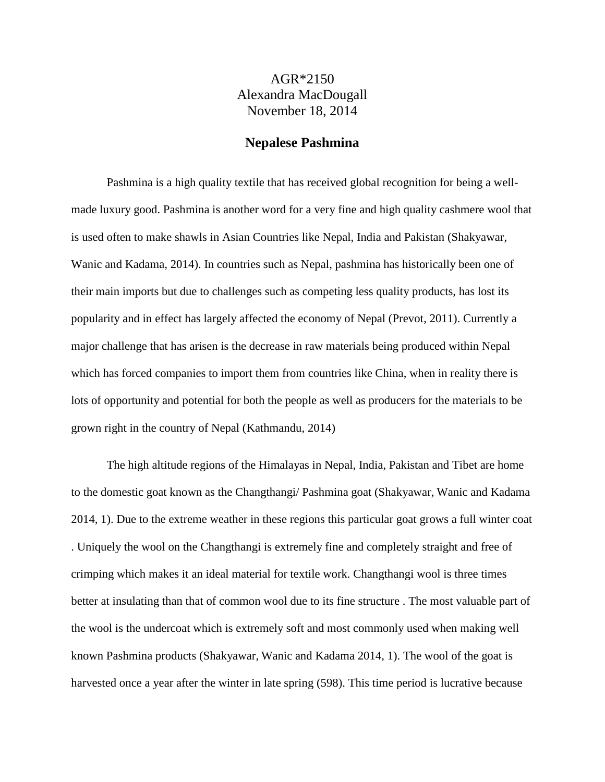## AGR\*2150 Alexandra MacDougall November 18, 2014

## **Nepalese Pashmina**

Pashmina is a high quality textile that has received global recognition for being a wellmade luxury good. Pashmina is another word for a very fine and high quality cashmere wool that is used often to make shawls in Asian Countries like Nepal, India and Pakistan (Shakyawar, Wanic and Kadama, 2014). In countries such as Nepal, pashmina has historically been one of their main imports but due to challenges such as competing less quality products, has lost its popularity and in effect has largely affected the economy of Nepal (Prevot, 2011). Currently a major challenge that has arisen is the decrease in raw materials being produced within Nepal which has forced companies to import them from countries like China, when in reality there is lots of opportunity and potential for both the people as well as producers for the materials to be grown right in the country of Nepal (Kathmandu, 2014)

The high altitude regions of the Himalayas in Nepal, India, Pakistan and Tibet are home to the domestic goat known as the Changthangi/ Pashmina goat (Shakyawar, Wanic and Kadama 2014, 1). Due to the extreme weather in these regions this particular goat grows a full winter coat . Uniquely the wool on the Changthangi is extremely fine and completely straight and free of crimping which makes it an ideal material for textile work. Changthangi wool is three times better at insulating than that of common wool due to its fine structure . The most valuable part of the wool is the undercoat which is extremely soft and most commonly used when making well known Pashmina products (Shakyawar, Wanic and Kadama 2014, 1). The wool of the goat is harvested once a year after the winter in late spring (598). This time period is lucrative because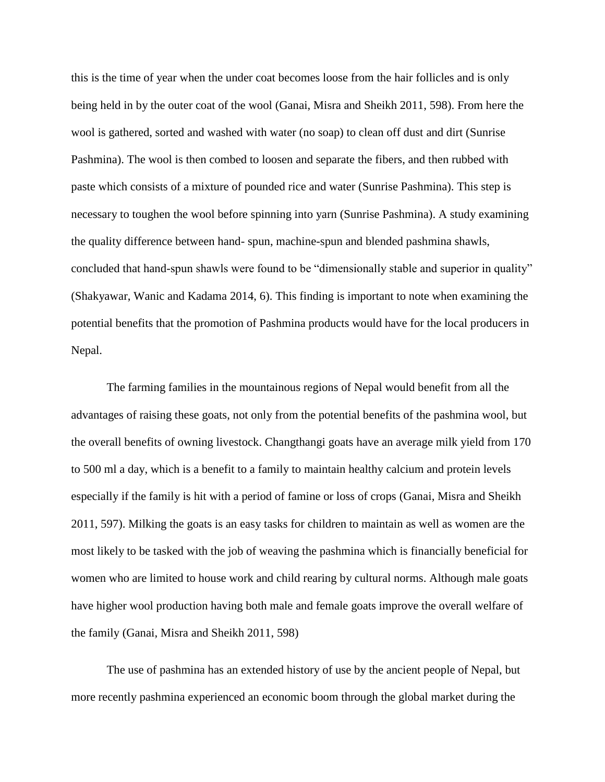this is the time of year when the under coat becomes loose from the hair follicles and is only being held in by the outer coat of the wool (Ganai, Misra and Sheikh 2011, 598). From here the wool is gathered, sorted and washed with water (no soap) to clean off dust and dirt (Sunrise Pashmina). The wool is then combed to loosen and separate the fibers, and then rubbed with paste which consists of a mixture of pounded rice and water (Sunrise Pashmina). This step is necessary to toughen the wool before spinning into yarn (Sunrise Pashmina). A study examining the quality difference between hand- spun, machine-spun and blended pashmina shawls, concluded that hand-spun shawls were found to be "dimensionally stable and superior in quality" (Shakyawar, Wanic and Kadama 2014, 6). This finding is important to note when examining the potential benefits that the promotion of Pashmina products would have for the local producers in Nepal.

The farming families in the mountainous regions of Nepal would benefit from all the advantages of raising these goats, not only from the potential benefits of the pashmina wool, but the overall benefits of owning livestock. Changthangi goats have an average milk yield from 170 to 500 ml a day, which is a benefit to a family to maintain healthy calcium and protein levels especially if the family is hit with a period of famine or loss of crops (Ganai, Misra and Sheikh 2011, 597). Milking the goats is an easy tasks for children to maintain as well as women are the most likely to be tasked with the job of weaving the pashmina which is financially beneficial for women who are limited to house work and child rearing by cultural norms. Although male goats have higher wool production having both male and female goats improve the overall welfare of the family (Ganai, Misra and Sheikh 2011, 598)

The use of pashmina has an extended history of use by the ancient people of Nepal, but more recently pashmina experienced an economic boom through the global market during the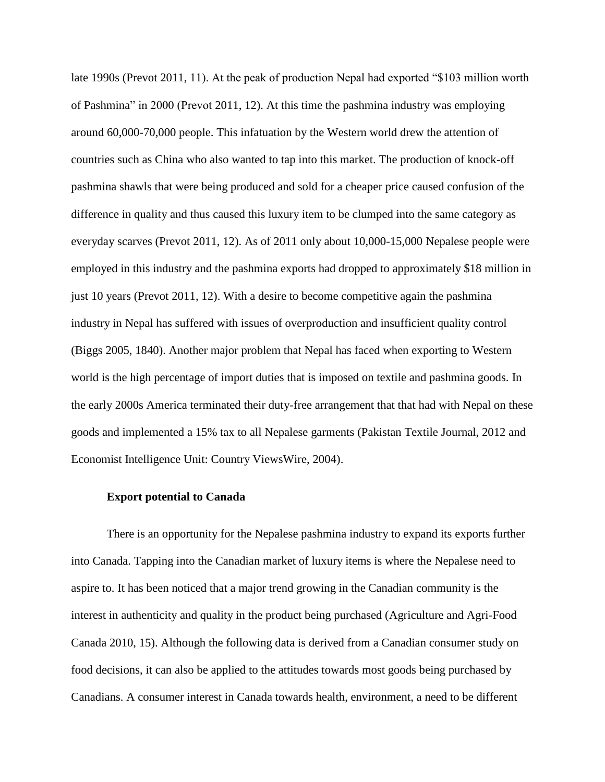late 1990s (Prevot 2011, 11). At the peak of production Nepal had exported "\$103 million worth of Pashmina" in 2000 (Prevot 2011, 12). At this time the pashmina industry was employing around 60,000-70,000 people. This infatuation by the Western world drew the attention of countries such as China who also wanted to tap into this market. The production of knock-off pashmina shawls that were being produced and sold for a cheaper price caused confusion of the difference in quality and thus caused this luxury item to be clumped into the same category as everyday scarves (Prevot 2011, 12). As of 2011 only about 10,000-15,000 Nepalese people were employed in this industry and the pashmina exports had dropped to approximately \$18 million in just 10 years (Prevot 2011, 12). With a desire to become competitive again the pashmina industry in Nepal has suffered with issues of overproduction and insufficient quality control (Biggs 2005, 1840). Another major problem that Nepal has faced when exporting to Western world is the high percentage of import duties that is imposed on textile and pashmina goods. In the early 2000s America terminated their duty-free arrangement that that had with Nepal on these goods and implemented a 15% tax to all Nepalese garments (Pakistan Textile Journal, 2012 and Economist Intelligence Unit: Country ViewsWire, 2004).

## **Export potential to Canada**

There is an opportunity for the Nepalese pashmina industry to expand its exports further into Canada. Tapping into the Canadian market of luxury items is where the Nepalese need to aspire to. It has been noticed that a major trend growing in the Canadian community is the interest in authenticity and quality in the product being purchased (Agriculture and Agri-Food Canada 2010, 15). Although the following data is derived from a Canadian consumer study on food decisions, it can also be applied to the attitudes towards most goods being purchased by Canadians. A consumer interest in Canada towards health, environment, a need to be different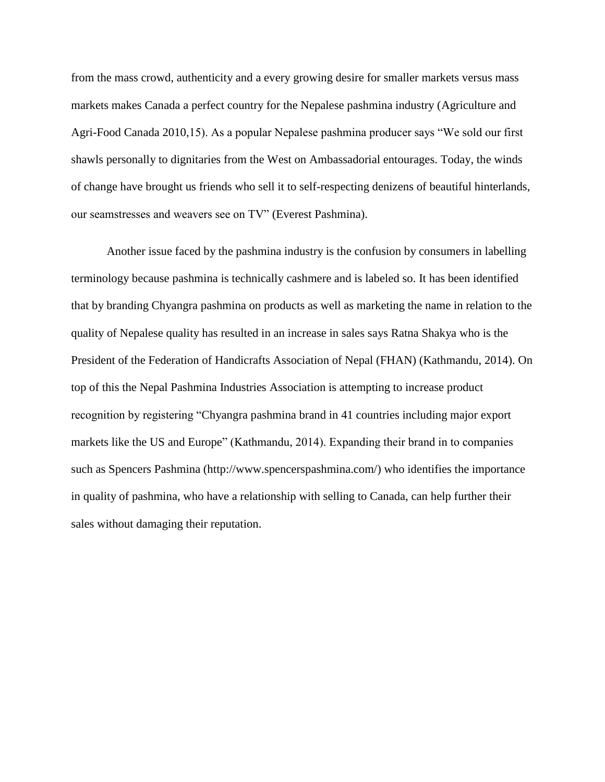from the mass crowd, authenticity and a every growing desire for smaller markets versus mass markets makes Canada a perfect country for the Nepalese pashmina industry (Agriculture and Agri-Food Canada 2010,15). As a popular Nepalese pashmina producer says "We sold our first shawls personally to dignitaries from the West on Ambassadorial entourages. Today, the winds of change have brought us friends who sell it to self-respecting denizens of beautiful hinterlands, our seamstresses and weavers see on TV" (Everest Pashmina).

Another issue faced by the pashmina industry is the confusion by consumers in labelling terminology because pashmina is technically cashmere and is labeled so. It has been identified that by branding Chyangra pashmina on products as well as marketing the name in relation to the quality of Nepalese quality has resulted in an increase in sales says Ratna Shakya who is the President of the Federation of Handicrafts Association of Nepal (FHAN) (Kathmandu, 2014). On top of this the Nepal Pashmina Industries Association is attempting to increase product recognition by registering "Chyangra pashmina brand in 41 countries including major export markets like the US and Europe" (Kathmandu, 2014). Expanding their brand in to companies such as Spencers Pashmina (http://www.spencerspashmina.com/) who identifies the importance in quality of pashmina, who have a relationship with selling to Canada, can help further their sales without damaging their reputation.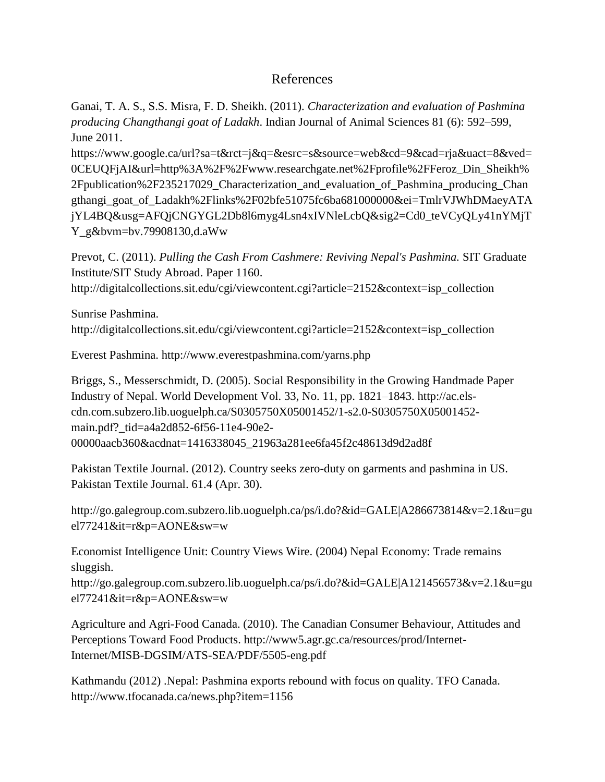## References

Ganai, T. A. S., S.S. Misra, F. D. Sheikh. (2011). *Characterization and evaluation of Pashmina producing Changthangi goat of Ladakh*. Indian Journal of Animal Sciences 81 (6): 592–599, June 2011.

https://www.google.ca/url?sa=t&rct=j&q=&esrc=s&source=web&cd=9&cad=rja&uact=8&ved= 0CEUQFjAI&url=http%3A%2F%2Fwww.researchgate.net%2Fprofile%2FFeroz\_Din\_Sheikh% 2Fpublication%2F235217029\_Characterization\_and\_evaluation\_of\_Pashmina\_producing\_Chan gthangi\_goat\_of\_Ladakh%2Flinks%2F02bfe51075fc6ba681000000&ei=TmlrVJWhDMaeyATA jYL4BQ&usg=AFQjCNGYGL2Db8l6myg4Lsn4xIVNleLcbQ&sig2=Cd0\_teVCyQLy41nYMjT Y\_g&bvm=bv.79908130,d.aWw

Prevot, C. (2011). *Pulling the Cash From Cashmere: Reviving Nepal's Pashmina.* SIT Graduate Institute/SIT Study Abroad. Paper 1160. http://digitalcollections.sit.edu/cgi/viewcontent.cgi?article=2152&context=isp\_collection

Sunrise Pashmina. http://digitalcollections.sit.edu/cgi/viewcontent.cgi?article=2152&context=isp\_collection

Everest Pashmina. http://www.everestpashmina.com/yarns.php

Briggs, S., Messerschmidt, D. (2005). Social Responsibility in the Growing Handmade Paper Industry of Nepal. World Development Vol. 33, No. 11, pp. 1821–1843. http://ac.elscdn.com.subzero.lib.uoguelph.ca/S0305750X05001452/1-s2.0-S0305750X05001452 main.pdf? tid=a4a2d852-6f56-11e4-90e2-00000aacb360&acdnat=1416338045\_21963a281ee6fa45f2c48613d9d2ad8f

Pakistan Textile Journal. (2012). Country seeks zero-duty on garments and pashmina in US. Pakistan Textile Journal. 61.4 (Apr. 30).

http://go.galegroup.com.subzero.lib.uoguelph.ca/ps/i.do?&id=GALE|A286673814&v=2.1&u=gu el77241&it=r&p=AONE&sw=w

Economist Intelligence Unit: Country Views Wire. (2004) Nepal Economy: Trade remains sluggish.

http://go.galegroup.com.subzero.lib.uoguelph.ca/ps/i.do?&id=GALE|A121456573&v=2.1&u=gu el77241&it=r&p=AONE&sw=w

Agriculture and Agri-Food Canada. (2010). The Canadian Consumer Behaviour, Attitudes and Perceptions Toward Food Products. http://www5.agr.gc.ca/resources/prod/Internet-Internet/MISB-DGSIM/ATS-SEA/PDF/5505-eng.pdf

Kathmandu (2012) .Nepal: Pashmina exports rebound with focus on quality. TFO Canada. http://www.tfocanada.ca/news.php?item=1156